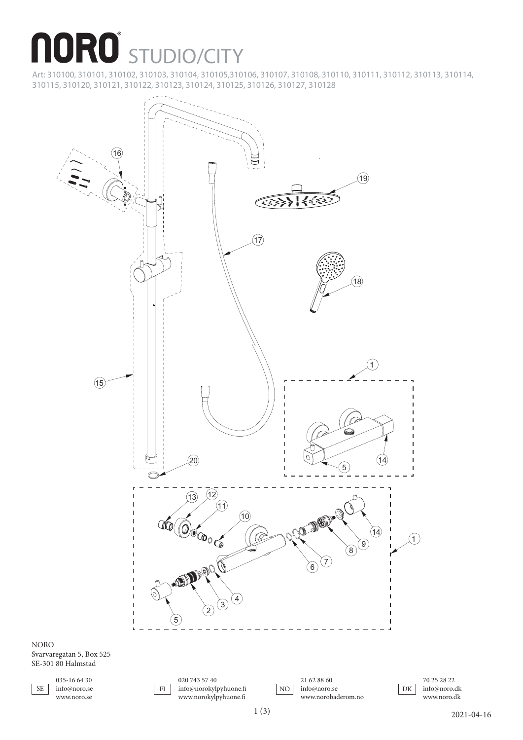## **NORO** STUDIO/CITY

Art: 310100, 310101, 310102, 310103, 310104, 310105,310106, 310107, 310108, 310110, 310111, 310112, 310113, 310114, 310115, 310120, 310121, 310122, 310123, 310124, 310125, 310126, 310127, 310128



SE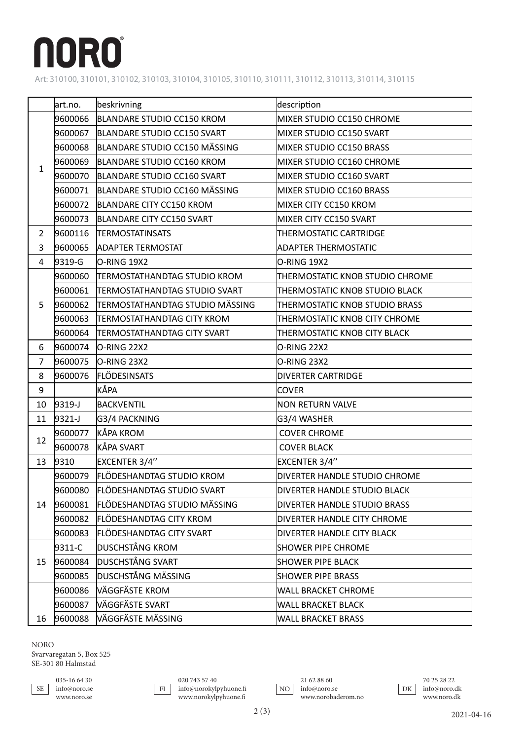## **NORO**

Art: 310100, 310101, 310102, 310103, 310104, 310105, 310110, 310111, 310112, 310113, 310114, 310115

|                | art.no.    | beskrivning                         | description                     |
|----------------|------------|-------------------------------------|---------------------------------|
| $\mathbf{1}$   | 9600066    | BLANDARE STUDIO CC150 KROM          | MIXER STUDIO CC150 CHROME       |
|                | 9600067    | BLANDARE STUDIO CC150 SVART         | MIXER STUDIO CC150 SVART        |
|                | 9600068    | BLANDARE STUDIO CC150 MÄSSING       | MIXER STUDIO CC150 BRASS        |
|                | 9600069    | BLANDARE STUDIO CC160 KROM          | MIXER STUDIO CC160 CHROME       |
|                | 9600070    | BLANDARE STUDIO CC160 SVART         | MIXER STUDIO CC160 SVART        |
|                | 9600071    | BLANDARE STUDIO CC160 MÄSSING       | MIXER STUDIO CC160 BRASS        |
|                | 9600072    | BLANDARE CITY CC150 KROM            | MIXER CITY CC150 KROM           |
|                | 9600073    | BLANDARE CITY CC150 SVART           | MIXER CITY CC150 SVART          |
| $\overline{2}$ | 9600116    | <b>TERMOSTATINSATS</b>              | THERMOSTATIC CARTRIDGE          |
| 3              | 9600065    | <b>ADAPTER TERMOSTAT</b>            | <b>ADAPTER THERMOSTATIC</b>     |
| 4              | 9319-G     | $O-RING 19X2$                       | O-RING 19X2                     |
|                | 9600060    | <b>TERMOSTATHANDTAG STUDIO KROM</b> | THERMOSTATIC KNOB STUDIO CHROME |
|                | 9600061    | TERMOSTATHANDTAG STUDIO SVART       | THERMOSTATIC KNOB STUDIO BLACK  |
| 5              | 9600062    | TERMOSTATHANDTAG STUDIO MÄSSING     | THERMOSTATIC KNOB STUDIO BRASS  |
|                | 9600063    | TERMOSTATHANDTAG CITY KROM          | THERMOSTATIC KNOB CITY CHROME   |
|                | 9600064    | TERMOSTATHANDTAG CITY SVART         | THERMOSTATIC KNOB CITY BLACK    |
| 6              | 9600074    | O-RING 22X2                         | O-RING 22X2                     |
| $\overline{7}$ | 9600075    | O-RING 23X2                         | O-RING 23X2                     |
| 8              | 9600076    | FLÖDESINSATS                        | <b>DIVERTER CARTRIDGE</b>       |
| 9              |            | KÅPA                                | <b>COVER</b>                    |
| 10             | $9319 - J$ | BACKVENTIL                          | <b>NON RETURN VALVE</b>         |
| 11             | $9321 - J$ | G3/4 PACKNING                       | G3/4 WASHER                     |
| 12             | 9600077    | KÅPA KROM                           | <b>COVER CHROME</b>             |
|                | 9600078    | KÅPA SVART                          | <b>COVER BLACK</b>              |
| 13             | 9310       | EXCENTER 3/4"                       | EXCENTER 3/4"                   |
| 14             | 9600079    | <b>FLÖDESHANDTAG STUDIO KROM</b>    | DIVERTER HANDLE STUDIO CHROME   |
|                | 9600080    | <b>FLÖDESHANDTAG STUDIO SVART</b>   | DIVERTER HANDLE STUDIO BLACK    |
|                | 9600081    | FLÖDESHANDTAG STUDIO MÄSSING        | DIVERTER HANDLE STUDIO BRASS    |
|                | 9600082    | <b>FLÖDESHANDTAG CITY KROM</b>      | DIVERTER HANDLE CITY CHROME     |
|                | 9600083    | FLÖDESHANDTAG CITY SVART            | DIVERTER HANDLE CITY BLACK      |
| 15             | 9311-C     | <b>DUSCHSTÅNG KROM</b>              | <b>SHOWER PIPE CHROME</b>       |
|                | 9600084    | <b>DUSCHSTÅNG SVART</b>             | <b>SHOWER PIPE BLACK</b>        |
|                | 9600085    | DUSCHSTÅNG MÄSSING                  | <b>SHOWER PIPE BRASS</b>        |
|                | 9600086    | VÄGGFÄSTE KROM                      | <b>WALL BRACKET CHROME</b>      |
|                | 9600087    | VÄGGFÄSTE SVART                     | <b>WALL BRACKET BLACK</b>       |
| 16             | 9600088    | VÄGGFÄSTE MÄSSING                   | <b>WALL BRACKET BRASS</b>       |

NORO

Svarvaregatan 5, Box 525 SE-301 80 Halmstad

| ÷<br>v |
|--------|

020 743 57 40 info@norokylpyhuone.fi www.norokylpyhuone.fi FI<sup>1</sup>



21 62 88 60 info@noro.se www.norobaderom.no

70 25 28 22 info@noro.dk www.noro.dk DK